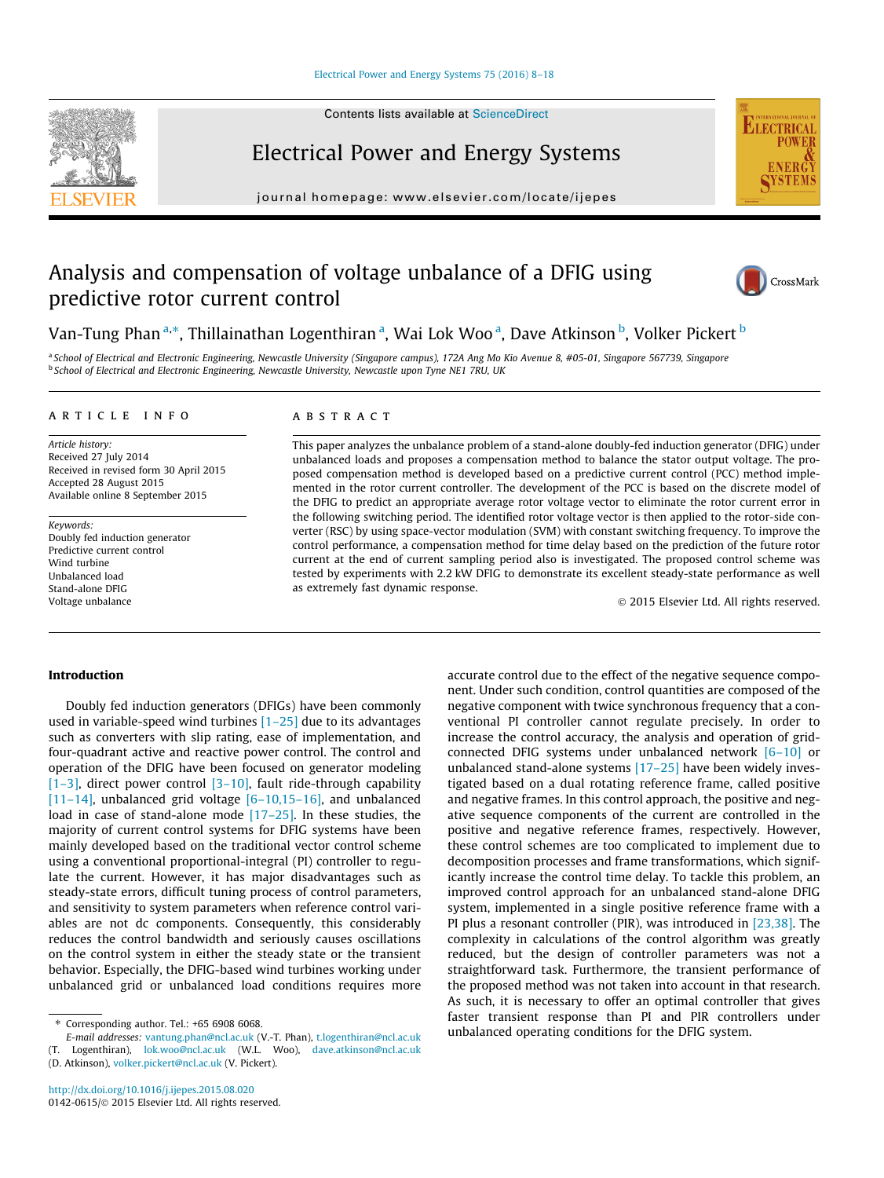#### [Electrical Power and Energy Systems 75 \(2016\) 8–18](http://dx.doi.org/10.1016/j.ijepes.2015.08.020)

Electrical Power and Energy Systems



## journal homepage: [www.elsevier.com/locate/ijepes](http://www.elsevier.com/locate/ijepes)

# Analysis and compensation of voltage unbalance of a DFIG using predictive rotor current control



### Van-Tung Phan <sup>a,</sup>\*, Thillainathan Logenthiran <sup>a</sup>, Wai Lok Woo <sup>a</sup>, Dave Atkinson <sup>b</sup>, Volker Pickert <sup>b</sup>

a School of Electrical and Electronic Engineering, Newcastle University (Singapore campus), 172A Ang Mo Kio Avenue 8, #05-01, Singapore 567739, Singapore <sup>b</sup> School of Electrical and Electronic Engineering, Newcastle University, Newcastle upon Tyne NE1 7RU, UK

#### article info

Article history: Received 27 July 2014 Received in revised form 30 April 2015 Accepted 28 August 2015 Available online 8 September 2015

Keywords: Doubly fed induction generator Predictive current control Wind turbine Unbalanced load Stand-alone DFIG Voltage unbalance

#### ABSTRACT

This paper analyzes the unbalance problem of a stand-alone doubly-fed induction generator (DFIG) under unbalanced loads and proposes a compensation method to balance the stator output voltage. The proposed compensation method is developed based on a predictive current control (PCC) method implemented in the rotor current controller. The development of the PCC is based on the discrete model of the DFIG to predict an appropriate average rotor voltage vector to eliminate the rotor current error in the following switching period. The identified rotor voltage vector is then applied to the rotor-side converter (RSC) by using space-vector modulation (SVM) with constant switching frequency. To improve the control performance, a compensation method for time delay based on the prediction of the future rotor current at the end of current sampling period also is investigated. The proposed control scheme was tested by experiments with 2.2 kW DFIG to demonstrate its excellent steady-state performance as well as extremely fast dynamic response.

2015 Elsevier Ltd. All rights reserved.

### Introduction

Doubly fed induction generators (DFIGs) have been commonly used in variable-speed wind turbines  $[1-25]$  due to its advantages such as converters with slip rating, ease of implementation, and four-quadrant active and reactive power control. The control and operation of the DFIG have been focused on generator modeling  $[1-3]$ , direct power control  $[3-10]$ , fault ride-through capability [11–14], unbalanced grid voltage  $[6-10,15-16]$ , and unbalanced load in case of stand-alone mode [17–25]. In these studies, the majority of current control systems for DFIG systems have been mainly developed based on the traditional vector control scheme using a conventional proportional-integral (PI) controller to regulate the current. However, it has major disadvantages such as steady-state errors, difficult tuning process of control parameters, and sensitivity to system parameters when reference control variables are not dc components. Consequently, this considerably reduces the control bandwidth and seriously causes oscillations on the control system in either the steady state or the transient behavior. Especially, the DFIG-based wind turbines working under unbalanced grid or unbalanced load conditions requires more accurate control due to the effect of the negative sequence component. Under such condition, control quantities are composed of the negative component with twice synchronous frequency that a conventional PI controller cannot regulate precisely. In order to increase the control accuracy, the analysis and operation of gridconnected DFIG systems under unbalanced network  $[6-10]$  or unbalanced stand-alone systems  $[17-25]$  have been widely investigated based on a dual rotating reference frame, called positive and negative frames. In this control approach, the positive and negative sequence components of the current are controlled in the positive and negative reference frames, respectively. However, these control schemes are too complicated to implement due to decomposition processes and frame transformations, which significantly increase the control time delay. To tackle this problem, an improved control approach for an unbalanced stand-alone DFIG system, implemented in a single positive reference frame with a PI plus a resonant controller (PIR), was introduced in [23,38]. The complexity in calculations of the control algorithm was greatly reduced, but the design of controller parameters was not a straightforward task. Furthermore, the transient performance of the proposed method was not taken into account in that research. As such, it is necessary to offer an optimal controller that gives faster transient response than PI and PIR controllers under unbalanced operating conditions for the DFIG system.

<sup>⇑</sup> Corresponding author. Tel.: +65 6908 6068.

E-mail addresses: [vantung.phan@ncl.ac.uk](mailto:vantung.phan@ncl.ac.uk) (V.-T. Phan), [t.logenthiran@ncl.ac.uk](mailto:t.logenthiran@ncl.ac.uk) (T. Logenthiran), [lok.woo@ncl.ac.uk](mailto:lok.woo@ncl.ac.uk) (W.L. Woo), [dave.atkinson@ncl.ac.uk](mailto:dave.atkinson@ncl.ac.uk)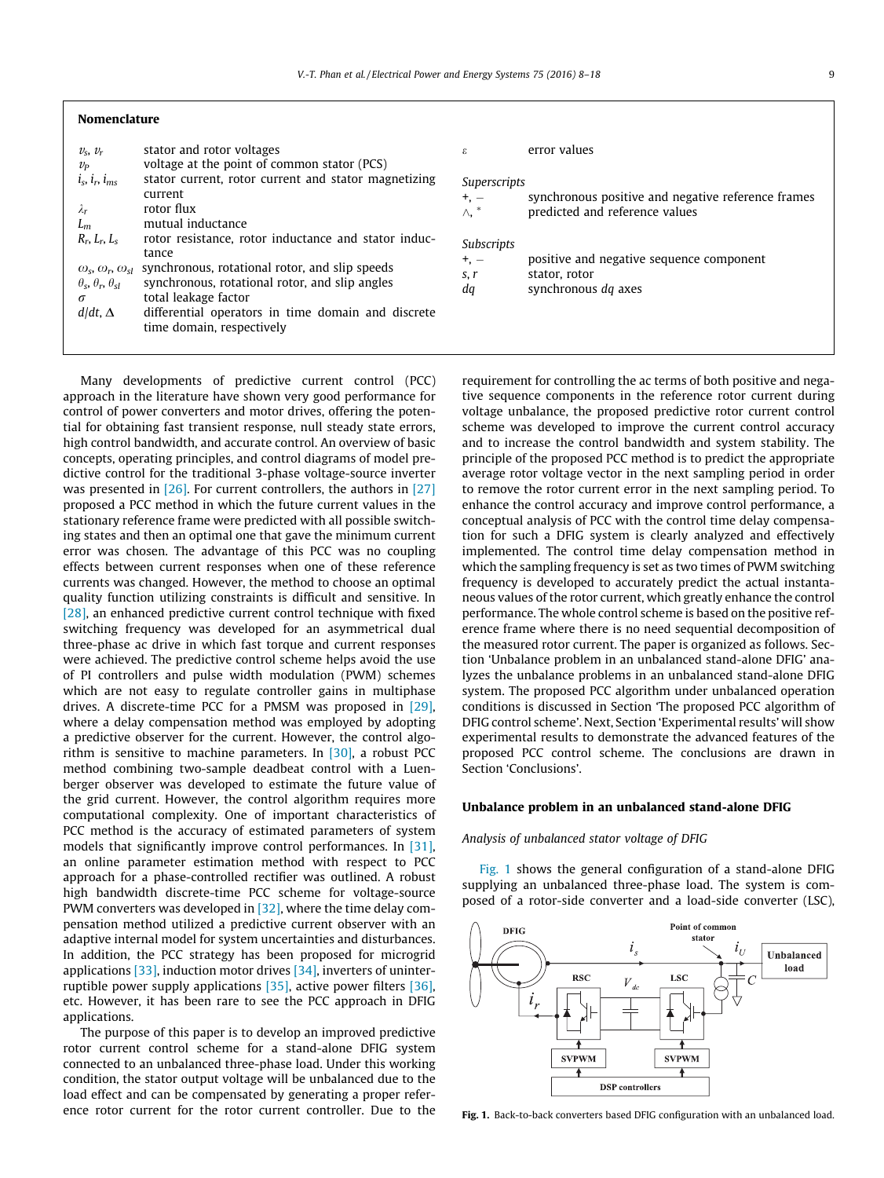| <b>Nomenclature</b>                                                                                                                                     |                                                                                                                                                                                                                                                                              |                                    |                                                                                      |
|---------------------------------------------------------------------------------------------------------------------------------------------------------|------------------------------------------------------------------------------------------------------------------------------------------------------------------------------------------------------------------------------------------------------------------------------|------------------------------------|--------------------------------------------------------------------------------------|
| $v_{\rm s}, v_{\rm r}$<br>$v_{\rm P}$                                                                                                                   | stator and rotor voltages<br>voltage at the point of common stator (PCS)                                                                                                                                                                                                     | £.                                 | error values                                                                         |
| $i_s$ , $i_r$ , $i_{ms}$<br>$\lambda_r$<br>$L_m$                                                                                                        | stator current, rotor current and stator magnetizing<br>current<br>rotor flux<br>mutual inductance                                                                                                                                                                           | Superscripts<br>$+,-$<br>∧. *      | synchronous positive and negative reference frames<br>predicted and reference values |
| $R_r, L_r, L_s$<br>$\omega_{\rm s}, \omega_{\rm r}, \omega_{\rm sl}$<br>$\theta_{\rm s}, \theta_{\rm r}, \theta_{\rm sl}$<br>$\sigma$<br>$d/dt, \Delta$ | rotor resistance, rotor inductance and stator induc-<br>tance<br>synchronous, rotational rotor, and slip speeds<br>synchronous, rotational rotor, and slip angles<br>total leakage factor<br>differential operators in time domain and discrete<br>time domain, respectively | Subscripts<br>$+, -$<br>S, r<br>da | positive and negative sequence component<br>stator, rotor<br>synchronous dq axes     |

Many developments of predictive current control (PCC) approach in the literature have shown very good performance for control of power converters and motor drives, offering the potential for obtaining fast transient response, null steady state errors, high control bandwidth, and accurate control. An overview of basic concepts, operating principles, and control diagrams of model predictive control for the traditional 3-phase voltage-source inverter was presented in [26]. For current controllers, the authors in [27] proposed a PCC method in which the future current values in the stationary reference frame were predicted with all possible switching states and then an optimal one that gave the minimum current error was chosen. The advantage of this PCC was no coupling effects between current responses when one of these reference currents was changed. However, the method to choose an optimal quality function utilizing constraints is difficult and sensitive. In [28], an enhanced predictive current control technique with fixed switching frequency was developed for an asymmetrical dual three-phase ac drive in which fast torque and current responses were achieved. The predictive control scheme helps avoid the use of PI controllers and pulse width modulation (PWM) schemes which are not easy to regulate controller gains in multiphase drives. A discrete-time PCC for a PMSM was proposed in [29], where a delay compensation method was employed by adopting a predictive observer for the current. However, the control algorithm is sensitive to machine parameters. In  $[30]$ , a robust PCC method combining two-sample deadbeat control with a Luenberger observer was developed to estimate the future value of the grid current. However, the control algorithm requires more computational complexity. One of important characteristics of PCC method is the accuracy of estimated parameters of system models that significantly improve control performances. In [31], an online parameter estimation method with respect to PCC approach for a phase-controlled rectifier was outlined. A robust high bandwidth discrete-time PCC scheme for voltage-source PWM converters was developed in [32], where the time delay compensation method utilized a predictive current observer with an adaptive internal model for system uncertainties and disturbances. In addition, the PCC strategy has been proposed for microgrid applications [33], induction motor drives [34], inverters of uninterruptible power supply applications [35], active power filters [36], etc. However, it has been rare to see the PCC approach in DFIG applications.

The purpose of this paper is to develop an improved predictive rotor current control scheme for a stand-alone DFIG system connected to an unbalanced three-phase load. Under this working condition, the stator output voltage will be unbalanced due to the load effect and can be compensated by generating a proper reference rotor current for the rotor current controller. Due to the

requirement for controlling the ac terms of both positive and negative sequence components in the reference rotor current during voltage unbalance, the proposed predictive rotor current control scheme was developed to improve the current control accuracy and to increase the control bandwidth and system stability. The principle of the proposed PCC method is to predict the appropriate average rotor voltage vector in the next sampling period in order to remove the rotor current error in the next sampling period. To enhance the control accuracy and improve control performance, a conceptual analysis of PCC with the control time delay compensation for such a DFIG system is clearly analyzed and effectively implemented. The control time delay compensation method in which the sampling frequency is set as two times of PWM switching frequency is developed to accurately predict the actual instantaneous values of the rotor current, which greatly enhance the control performance. The whole control scheme is based on the positive reference frame where there is no need sequential decomposition of the measured rotor current. The paper is organized as follows. Section 'Unbalance problem in an unbalanced stand-alone DFIG' analyzes the unbalance problems in an unbalanced stand-alone DFIG system. The proposed PCC algorithm under unbalanced operation conditions is discussed in Section 'The proposed PCC algorithm of DFIG control scheme'. Next, Section 'Experimental results' will show experimental results to demonstrate the advanced features of the proposed PCC control scheme. The conclusions are drawn in Section 'Conclusions'.

#### Unbalance problem in an unbalanced stand-alone DFIG

#### Analysis of unbalanced stator voltage of DFIG

Fig. 1 shows the general configuration of a stand-alone DFIG supplying an unbalanced three-phase load. The system is composed of a rotor-side converter and a load-side converter (LSC),



Fig. 1. Back-to-back converters based DFIG configuration with an unbalanced load.